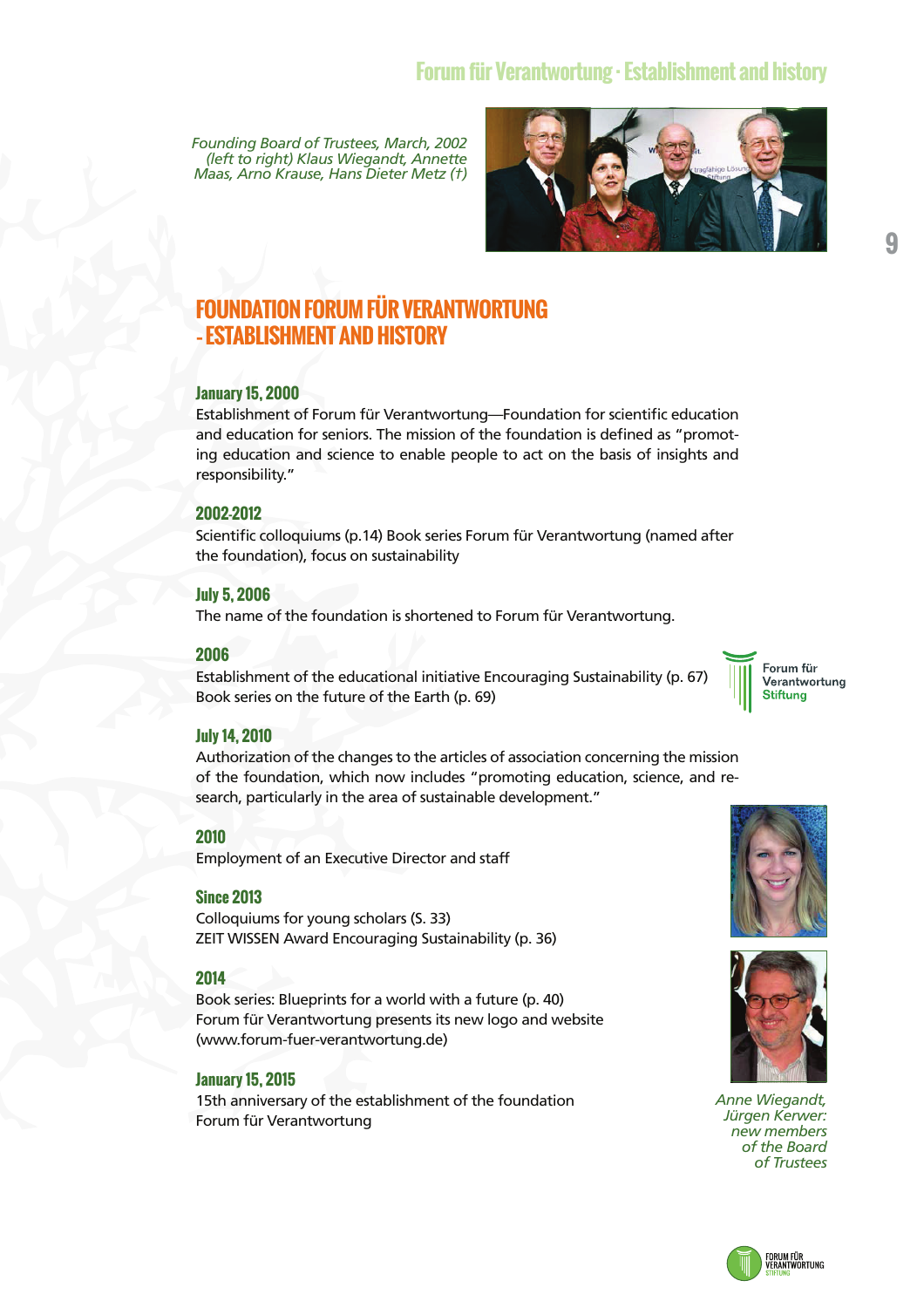*Founding Board of Trustees, March, 2002 (left to right) Klaus Wiegandt, Annette Maas, Arno Krause, Hans Dieter Metz (†)* 

# **FOUNDATION FORUM FÜR VERANTWORTUNG – ESTABLISHMENT AND HISTORY**

### **January 15, 2000**

Establishment of Forum für Verantwortung—Foundation for scientific education and education for seniors. The mission of the foundation is defined as "promoting education and science to enable people to act on the basis of insights and responsibility."

### **2002-2012**

Scientific colloquiums (p.14) Book series Forum für Verantwortung (named after the foundation), focus on sustainability

### **July 5, 2006**

The name of the foundation is shortened to Forum für Verantwortung.

### **2006**

Establishment of the educational initiative Encouraging Sustainability (p. 67) Book series on the future of the Earth (p. 69)

### **July 14, 2010**

Authorization of the changes to the articles of association concerning the mission of the foundation, which now includes "promoting education, science, and research, particularly in the area of sustainable development."

### **2010**

Employment of an Executive Director and staff

### **Since 2013**

Colloquiums for young scholars (S. 33) ZEIT WISSEN Award Encouraging Sustainability (p. 36)

### **2014**

Book series: Blueprints for a world with a future (p. 40) Forum für Verantwortung presents its new logo and website (www.forum-fuer-verantwortung.de)

### **January 15, 2015**

15th anniversary of the establishment of the foundation Forum für Verantwortung





*Anne Wiegandt, Jürgen Kerwer: new members of the Board of Trustees* 



**9**



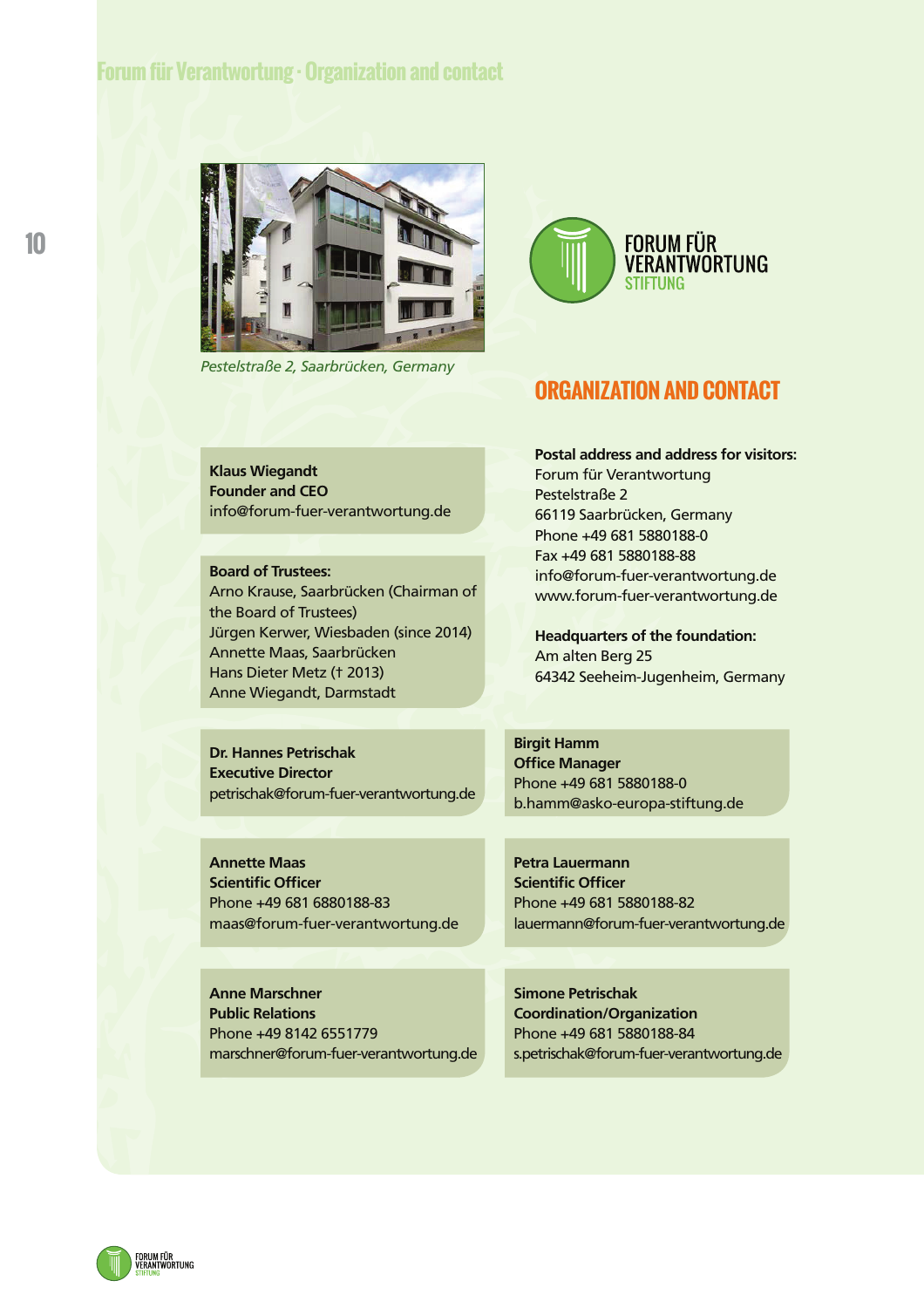# **Forum für Verantwortung · Organization and contact**



*Pestelstraße 2, Saarbrücken, Germany*



### **ORGANIZATION AND CONTACT**

**Postal address and address for visitors:** 

Forum für Verantwortung

Pestelstraße 2

**Klaus Wiegandt Founder and CEO**  info@forum-fuer-verantwortung.de

**Board of Trustees:**  Arno Krause, Saarbrücken (Chairman of the Board of Trustees) Jürgen Kerwer, Wiesbaden (since 2014) Annette Maas, Saarbrücken Hans Dieter Metz († 2013) Anne Wiegandt, Darmstadt

66119 Saarbrücken, Germany Phone +49 681 5880188-0 Fax +49 681 5880188-88 info@forum-fuer-verantwortung.de www.forum-fuer-verantwortung.de **Headquarters of the foundation:** 

Am alten Berg 25 64342 Seeheim-Jugenheim, Germany

**Dr. Hannes Petrischak Executive Director**  petrischak@forum-fuer-verantwortung.de **Birgit Hamm Office Manager**  Phone +49 681 5880188-0 b.hamm@asko-europa-stiftung.de

**Petra Lauermann Scientific Officer** 

Phone +49 681 5880188-82

**Annette Maas Scientific Officer**  Phone +49 681 6880188-83 maas@forum-fuer-verantwortung.de

**Anne Marschner Public Relations**  Phone +49 8142 6551779 marschner@forum-fuer-verantwortung.de **Simone Petrischak** 

lauermann@forum-fuer-verantwortung.de

**Coordination/Organization**  Phone +49 681 5880188-84 s.petrischak@forum-fuer-verantwortung.de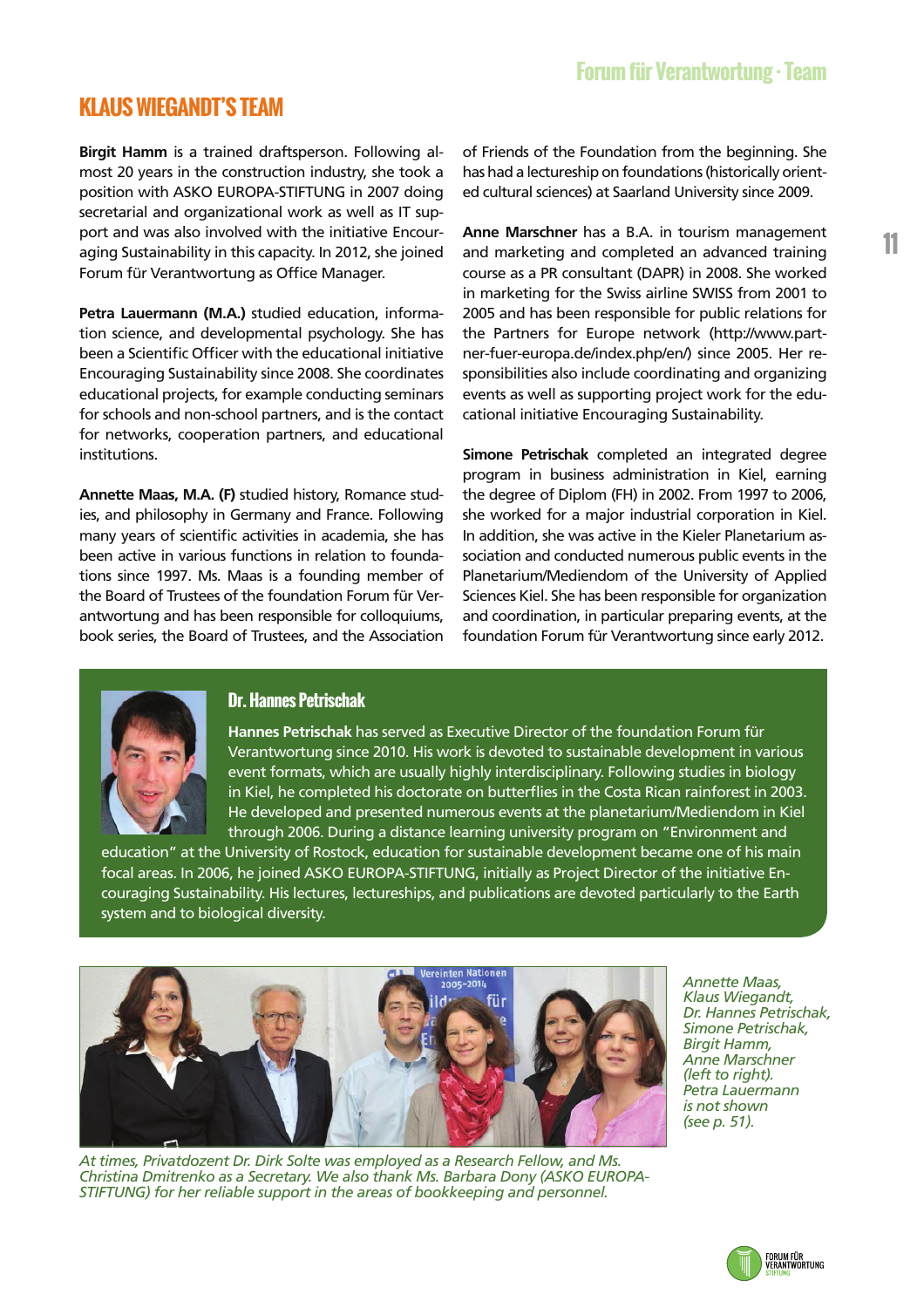**11**

# **KLAUS WIEGANDT'S TEAM**

**Birgit Hamm** is a trained draftsperson. Following almost 20 years in the construction industry, she took a position with ASKO EUROPA-STIFTUNG in 2007 doing secretarial and organizational work as well as IT support and was also involved with the initiative Encouraging Sustainability in this capacity. In 2012, she joined Forum für Verantwortung as Office Manager.

**Petra Lauermann (M.A.)** studied education, information science, and developmental psychology. She has been a Scientific Officer with the educational initiative Encouraging Sustainability since 2008. She coordinates educational projects, for example conducting seminars for schools and non-school partners, and is the contact for networks, cooperation partners, and educational institutions.

**Annette Maas, M.A. (F)** studied history, Romance studies, and philosophy in Germany and France. Following many years of scientific activities in academia, she has been active in various functions in relation to foundations since 1997. Ms. Maas is a founding member of the Board of Trustees of the foundation Forum für Verantwortung and has been responsible for colloquiums, book series, the Board of Trustees, and the Association of Friends of the Foundation from the beginning. She has had a lectureship on foundations (historically oriented cultural sciences) at Saarland University since 2009.

**Anne Marschner** has a B.A. in tourism management and marketing and completed an advanced training course as a PR consultant (DAPR) in 2008. She worked in marketing for the Swiss airline SWISS from 2001 to 2005 and has been responsible for public relations for the Partners for Europe network (http://www.partner-fuer-europa.de/index.php/en/) since 2005. Her responsibilities also include coordinating and organizing events as well as supporting project work for the educational initiative Encouraging Sustainability.

**Simone Petrischak** completed an integrated degree program in business administration in Kiel, earning the degree of Diplom (FH) in 2002. From 1997 to 2006, she worked for a major industrial corporation in Kiel. In addition, she was active in the Kieler Planetarium association and conducted numerous public events in the Planetarium/Mediendom of the University of Applied Sciences Kiel. She has been responsible for organization and coordination, in particular preparing events, at the foundation Forum für Verantwortung since early 2012.



### **Dr. Hannes Petrischak**

**Hannes Petrischak** has served as Executive Director of the foundation Forum für Verantwortung since 2010. His work is devoted to sustainable development in various event formats, which are usually highly interdisciplinary. Following studies in biology in Kiel, he completed his doctorate on butterflies in the Costa Rican rainforest in 2003. He developed and presented numerous events at the planetarium/Mediendom in Kiel through 2006. During a distance learning university program on "Environment and

education" at the University of Rostock, education for sustainable development became one of his main focal areas. In 2006, he joined ASKO EUROPA-STIFTUNG, initially as Project Director of the initiative Encouraging Sustainability. His lectures, lectureships, and publications are devoted particularly to the Earth system and to biological diversity.



*At times, Privatdozent Dr. Dirk Solte was employed as a Research Fellow, and Ms. Christina Dmitrenko as a Secretary. We also thank Ms. Barbara Dony (ASKO EUROPA-STIFTUNG) for her reliable support in the areas of bookkeeping and personnel.* 

*Annette Maas, Klaus Wiegandt, Dr. Hannes Petrischak, Simone Petrischak, Birgit Hamm, Anne Marschner (left to right). Petra Lauermann is not shown (see p. 51).* 

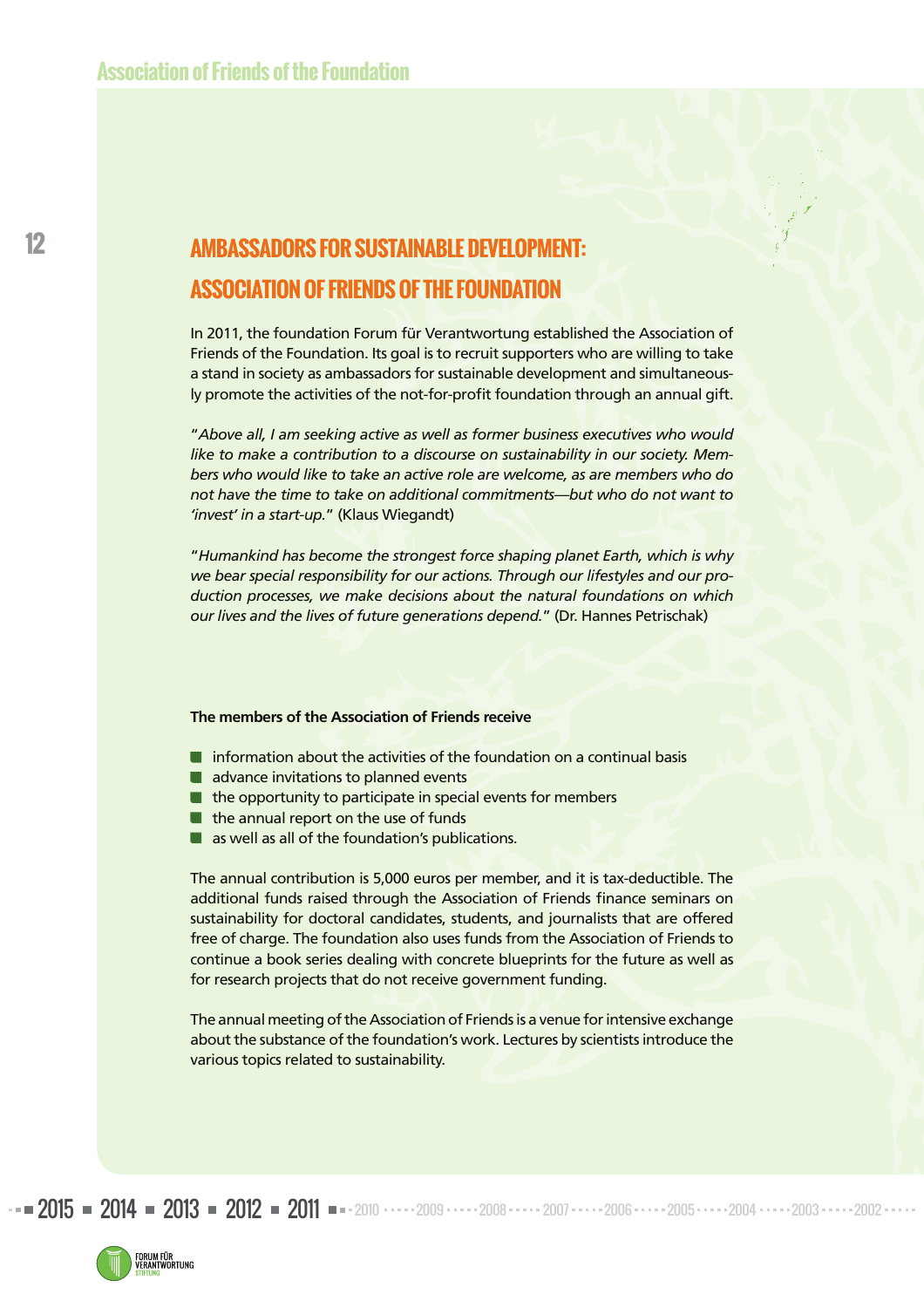# **AMBASSADORS FOR SUSTAINABLE DEVELOPMENT: ASSOCIATION OF FRIENDS OF THE FOUNDATION**

In 2011, the foundation Forum für Verantwortung established the Association of Friends of the Foundation. Its goal is to recruit supporters who are willing to take a stand in society as ambassadors for sustainable development and simultaneously promote the activities of the not-for-profit foundation through an annual gift.

"*Above all, I am seeking active as well as former business executives who would like to make a contribution to a discourse on sustainability in our society. Members who would like to take an active role are welcome, as are members who do not have the time to take on additional commitments—but who do not want to 'invest' in a start-up.*" (Klaus Wiegandt)

"*Humankind has become the strongest force shaping planet Earth, which is why we bear special responsibility for our actions. Through our lifestyles and our production processes, we make decisions about the natural foundations on which our lives and the lives of future generations depend.*" (Dr. Hannes Petrischak)

#### **The members of the Association of Friends receive**

- $\blacksquare$  information about the activities of the foundation on a continual basis
- advance invitations to planned events
- $\blacksquare$  the opportunity to participate in special events for members
- $\blacksquare$  the annual report on the use of funds
- **a** as well as all of the foundation's publications.

The annual contribution is 5,000 euros per member, and it is tax-deductible. The additional funds raised through the Association of Friends finance seminars on sustainability for doctoral candidates, students, and journalists that are offered free of charge. The foundation also uses funds from the Association of Friends to continue a book series dealing with concrete blueprints for the future as well as for research projects that do not receive government funding.

The annual meeting of the Association of Friends is a venue for intensive exchange about the substance of the foundation's work. Lectures by scientists introduce the various topics related to sustainability.

2015 = 2014 = 2013 = 2012 = 2011 = 2010 - - - - 2009 - - - - 2008 - - - - 2006 - - - - 2005 - - - - - 2004 - - - - 2003 - - - - 2002